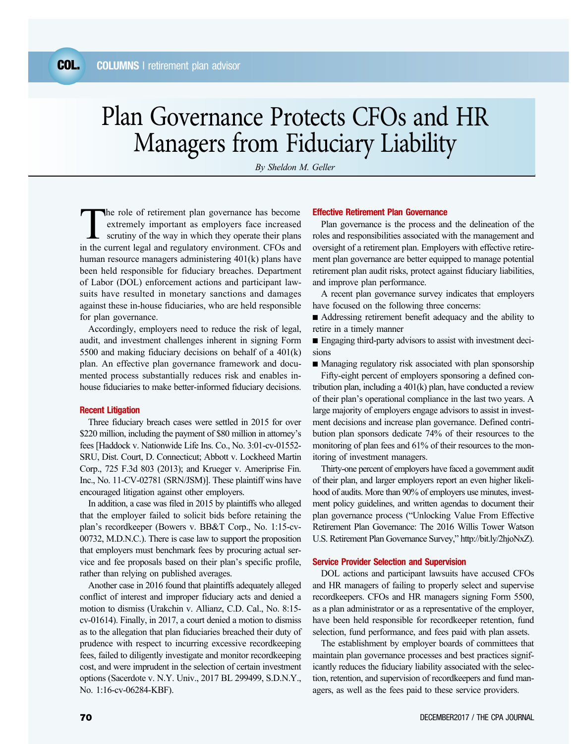# Plan Governance Protects CFOs and HR Managers from Fiduciary Liability

*By Sheldon M. Geller*

The role of retirement plan governance has become<br>
extremely important as employers face increased<br>
scrutiny of the way in which they operate their plans<br>
in the current local and requisions environment GEOs and extremely important as employers face increased in the current legal and regulatory environment. CFOs and human resource managers administering 401(k) plans have been held responsible for fiduciary breaches. Department of Labor (DOL) enforcement actions and participant lawsuits have resulted in monetary sanctions and damages against these in-house fiduciaries, who are held responsible for plan governance.

Accordingly, employers need to reduce the risk of legal, audit, and investment challenges inherent in signing Form 5500 and making fiduciary decisions on behalf of a 401(k) plan. An effective plan governance framework and documented process substantially reduces risk and enables inhouse fiduciaries to make better-informed fiduciary decisions.

### Recent Litigation

Three fiduciary breach cases were settled in 2015 for over \$220 million, including the payment of \$80 million in attorney's fees [Haddock v. Nationwide Life Ins. Co., No. 3:01-cv-01552- SRU, Dist. Court, D. Connecticut; Abbott v. Lockheed Martin Corp., 725 F.3d 803 (2013); and Krueger v. Ameriprise Fin. Inc., No. 11-CV-02781 (SRN/JSM)]. These plaintiff wins have encouraged litigation against other employers.

In addition, a case was filed in 2015 by plaintiffs who alleged that the employer failed to solicit bids before retaining the plan's recordkeeper (Bowers v. BB&T Corp., No. 1:15-cv-00732, M.D.N.C.). There is case law to support the proposition that employers must benchmark fees by procuring actual service and fee proposals based on their plan's specific profile, rather than relying on published averages.

Another case in 2016 found that plaintiffs adequately alleged conflict of interest and improper fiduciary acts and denied a motion to dismiss (Urakchin v. Allianz, C.D. Cal., No. 8:15 cv-01614). Finally, in 2017, a court denied a motion to dismiss as to the allegation that plan fiduciaries breached their duty of prudence with respect to incurring excessive recordkeeping fees, failed to diligently investigate and monitor recordkeeping cost, and were imprudent in the selection of certain investment options (Sacerdote v. N.Y. Univ., 2017 BL 299499, S.D.N.Y., No. 1:16-cv-06284-KBF).

## Effective Retirement Plan Governance

Plan governance is the process and the delineation of the roles and responsibilities associated with the management and oversight of a retirement plan. Employers with effective retirement plan governance are better equipped to manage potential retirement plan audit risks, protect against fiduciary liabilities, and improve plan performance.

A recent plan governance survey indicates that employers have focused on the following three concerns:

■ Addressing retirement benefit adequacy and the ability to retire in a timely manner

■ Engaging third-party advisors to assist with investment decisions

■ Managing regulatory risk associated with plan sponsorship

Fifty-eight percent of employers sponsoring a defined contribution plan, including a 401(k) plan, have conducted a review of their plan's operational compliance in the last two years. A large majority of employers engage advisors to assist in investment decisions and increase plan governance. Defined contribution plan sponsors dedicate 74% of their resources to the monitoring of plan fees and 61% of their resources to the monitoring of investment managers.

Thirty-one percent of employers have faced a government audit of their plan, and larger employers report an even higher likelihood of audits. More than 90% of employers use minutes, investment policy guidelines, and written agendas to document their plan governance process ("Unlocking Value From Effective Retirement Plan Governance: The 2016 Willis Tower Watson U.S. Retirement Plan Governance Survey," http://bit.ly/2hjoNxZ).

#### Service Provider Selection and Supervision

DOL actions and participant lawsuits have accused CFOs and HR managers of failing to properly select and supervise recordkeepers. CFOs and HR managers signing Form 5500, as a plan administrator or as a representative of the employer, have been held responsible for recordkeeper retention, fund selection, fund performance, and fees paid with plan assets.

The establishment by employer boards of committees that maintain plan governance processes and best practices significantly reduces the fiduciary liability associated with the selection, retention, and supervision of recordkeepers and fund managers, as well as the fees paid to these service providers.